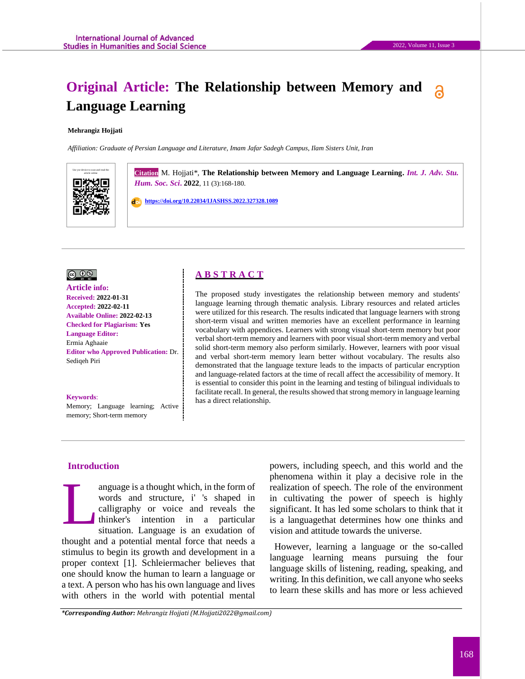# **Original Article: The Relationship between Memory and Language Learning**

#### **Mehrangiz Hojjati**

*Affiliation: Graduate of Persian Language and Literature, Imam Jafar Sadegh Campus, Ilam Sisters Unit, Iran*



**Citation** M. Hojjati\*, The Relationship between Memory and Language Learning. *Int. J. Adv. Stu. Hum. Soc. Sci***. 2022**, 11 (3):168-180.

 **<https://doi.org/10.22034/IJASHSS.2022.327328.1089>**



**Article info: Received: 2022-01-31 Accepted: 2022-02-11 Available Online: 2022-02-13 Checked for Plagiarism: Yes Language Editor:**  Ermia Aghaaie **Editor who Approved Publication:** [Dr.](http://www.ijashss.com/journal/editorial.board?edbc=8091)  Sediqeh Piri

#### **Keywords**:

Memory; Language learning; Active memory; Short-term memory

## **A B S T R A C T**

The proposed study investigates the relationship between memory and students' language learning through thematic analysis. Library resources and related articles were utilized for this research. The results indicated that language learners with strong short-term visual and written memories have an excellent performance in learning vocabulary with appendices. Learners with strong visual short-term memory but poor verbal short-term memory and learners with poor visual short-term memory and verbal solid short-term memory also perform similarly. However, learners with poor visual and verbal short-term memory learn better without vocabulary. The results also demonstrated that the language texture leads to the impacts of particular encryption and language-related factors at the time of recall affect the accessibility of memory. It is essential to consider this point in the learning and testing of bilingual individuals to facilitate recall. In general, the results showed that strong memory in language learning has a direct relationship.

#### **Introduction**

anguage is a thought which, in the form of words and structure, i' 's shaped in calligraphy or voice and reveals the thinker's intention in a particular situation. Language is an exudation of thought and a potential mental force that needs a stimulus to begin its growth and development in a proper context [1]. Schleiermacher believes that one should know the human to learn a language or a text. A person who has his own language and lives with others in the world with potential mental L

powers, including speech, and this world and the phenomena within it play a decisive role in the realization of speech. The role of the environment in cultivating the power of speech is highly significant. It has led some scholars to think that it is a languagethat determines how one thinks and vision and attitude towards the universe.

However, learning a language or the so-called language learning means pursuing the four language skills of listening, reading, speaking, and writing. In this definition, we call anyone who seeks to learn these skills and has more or less achieved

*\*Corresponding Author: Mehrangiz Hojjati (M.Hojjati2022@gmail.com)*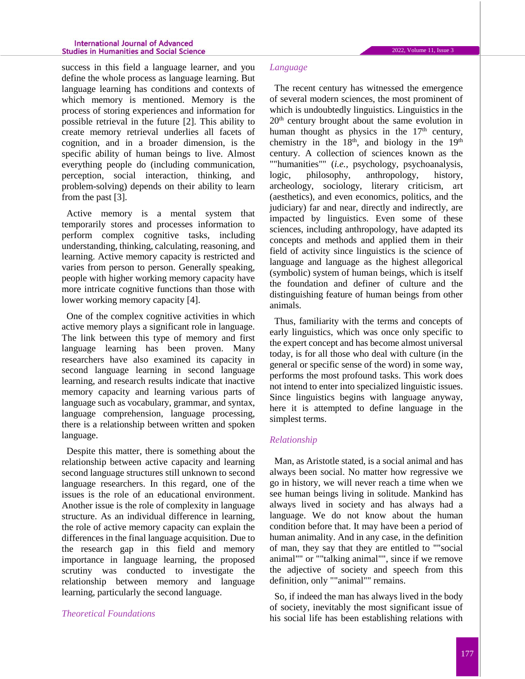success in this field a language learner, and you define the whole process as language learning. But language learning has conditions and contexts of which memory is mentioned. Memory is the process of storing experiences and information for possible retrieval in the future [2]. This ability to create memory retrieval underlies all facets of cognition, and in a broader dimension, is the specific ability of human beings to live. Almost everything people do (including communication, perception, social interaction, thinking, and problem-solving) depends on their ability to learn from the past [3].

Active memory is a mental system that temporarily stores and processes information to perform complex cognitive tasks, including understanding, thinking, calculating, reasoning, and learning. Active memory capacity is restricted and varies from person to person. Generally speaking, people with higher working memory capacity have more intricate cognitive functions than those with lower working memory capacity [4].

One of the complex cognitive activities in which active memory plays a significant role in language. The link between this type of memory and first language learning has been proven. Many researchers have also examined its capacity in second language learning in second language learning, and research results indicate that inactive memory capacity and learning various parts of language such as vocabulary, grammar, and syntax, language comprehension, language processing, there is a relationship between written and spoken language.

Despite this matter, there is something about the relationship between active capacity and learning second language structures still unknown to second language researchers. In this regard, one of the issues is the role of an educational environment. Another issue is the role of complexity in language structure. As an individual difference in learning, the role of active memory capacity can explain the differences in the final language acquisition. Due to the research gap in this field and memory importance in language learning, the proposed scrutiny was conducted to investigate the relationship between memory and language learning, particularly the second language.

#### *Theoretical Foundations*

#### *Language*

The recent century has witnessed the emergence of several modern sciences, the most prominent of which is undoubtedly linguistics. Linguistics in the 20th century brought about the same evolution in human thought as physics in the 17<sup>th</sup> century, chemistry in the  $18<sup>th</sup>$ , and biology in the  $19<sup>th</sup>$ century. A collection of sciences known as the ""humanities"" (*i.e.,* psychology, psychoanalysis, logic, philosophy, anthropology, history, archeology, sociology, literary criticism, art (aesthetics), and even economics, politics, and the judiciary) far and near, directly and indirectly, are impacted by linguistics. Even some of these sciences, including anthropology, have adapted its concepts and methods and applied them in their field of activity since linguistics is the science of language and language as the highest allegorical (symbolic) system of human beings, which is itself the foundation and definer of culture and the distinguishing feature of human beings from other animals.

Thus, familiarity with the terms and concepts of early linguistics, which was once only specific to the expert concept and has become almost universal today, is for all those who deal with culture (in the general or specific sense of the word) in some way, performs the most profound tasks. This work does not intend to enter into specialized linguistic issues. Since linguistics begins with language anyway, here it is attempted to define language in the simplest terms.

#### *Relationship*

Man, as Aristotle stated, is a social animal and has always been social. No matter how regressive we go in history, we will never reach a time when we see human beings living in solitude. Mankind has always lived in society and has always had a language. We do not know about the human condition before that. It may have been a period of human animality. And in any case, in the definition of man, they say that they are entitled to ""social animal"" or ""talking animal"", since if we remove the adjective of society and speech from this definition, only ""animal"" remains.

So, if indeed the man has always lived in the body of society, inevitably the most significant issue of his social life has been establishing relations with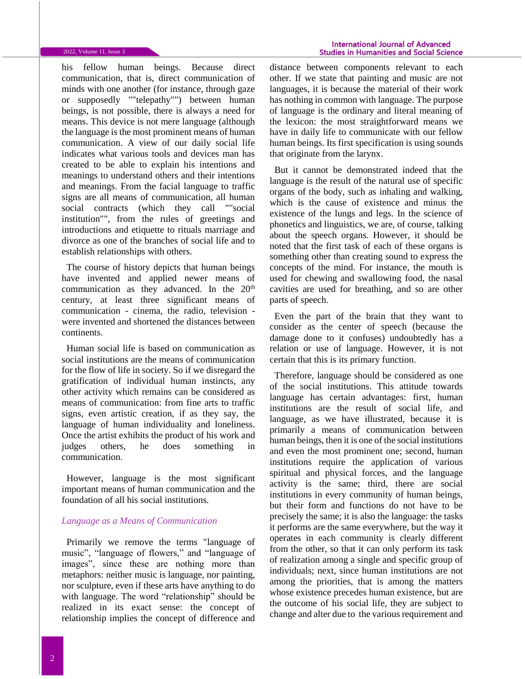#### 2022, Volume 11, Issue 3

his fellow human beings. Because direct communication, that is, direct communication of minds with one another (for instance, through gaze or supposedly ""telepathy"") between human beings, is not possible, there is always a need for means. This device is not mere language (although the language is the most prominent means of human communication. A view of our daily social life indicates what various tools and devices man has created to be able to explain his intentions and meanings to understand others and their intentions and meanings. From the facial language to traffic signs are all means of communication, all human social contracts (which they call ""social institution"", from the rules of greetings and introductions and etiquette to rituals marriage and divorce as one of the branches of social life and to establish relationships with others.

The course of history depicts that human beings have invented and applied newer means of communication as they advanced. In the 20<sup>th</sup> century, at least three significant means of communication - cinema, the radio, television were invented and shortened the distances between continents.

Human social life is based on communication as social institutions are the means of communication for the flow of life in society. So if we disregard the gratification of individual human instincts, any other activity which remains can be considered as means of communication: from fine arts to traffic signs, even artistic creation, if as they say, the language of human individuality and loneliness. Once the artist exhibits the product of his work and judges others, he does something in communication.

However, language is the most significant important means of human communication and the foundation of all his social institutions.

#### *Language as a Means of Communication*

Primarily we remove the terms "language of music", "language of flowers," and "language of images", since these are nothing more than metaphors: neither music is language, nor painting, nor sculpture, even if these arts have anything to do with language. The word "relationship" should be realized in its exact sense: the concept of relationship implies the concept of difference and

distance between components relevant to each other. If we state that painting and music are not languages, it is because the material of their work has nothing in common with language. The purpose of language is the ordinary and literal meaning of the lexicon: the most straightforward means we have in daily life to communicate with our fellow human beings. Its first specification is using sounds that originate from the larynx.

But it cannot be demonstrated indeed that the language is the result of the natural use of specific organs of the body, such as inhaling and walking, which is the cause of existence and minus the existence of the lungs and legs. In the science of phonetics and linguistics, we are, of course, talking about the speech organs. However, it should be noted that the first task of each of these organs is something other than creating sound to express the concepts of the mind. For instance, the mouth is used for chewing and swallowing food, the nasal cavities are used for breathing, and so are other parts of speech.

Even the part of the brain that they want to consider as the center of speech (because the damage done to it confuses) undoubtedly has a relation or use of language. However, it is not certain that this is its primary function.

Therefore, language should be considered as one of the social institutions. This attitude towards language has certain advantages: first, human institutions are the result of social life, and language, as we have illustrated, because it is primarily a means of communication between human beings, then it is one of the social institutions and even the most prominent one; second, human institutions require the application of various spiritual and physical forces, and the language activity is the same; third, there are social institutions in every community of human beings, but their form and functions do not have to be precisely the same; it is also the language: the tasks it performs are the same everywhere, but the way it operates in each community is clearly different from the other, so that it can only perform its task of realization among a single and specific group of individuals; next, since human institutions are not among the priorities, that is among the matters whose existence precedes human existence, but are the outcome of his social life, they are subject to change and alter due to the various requirement and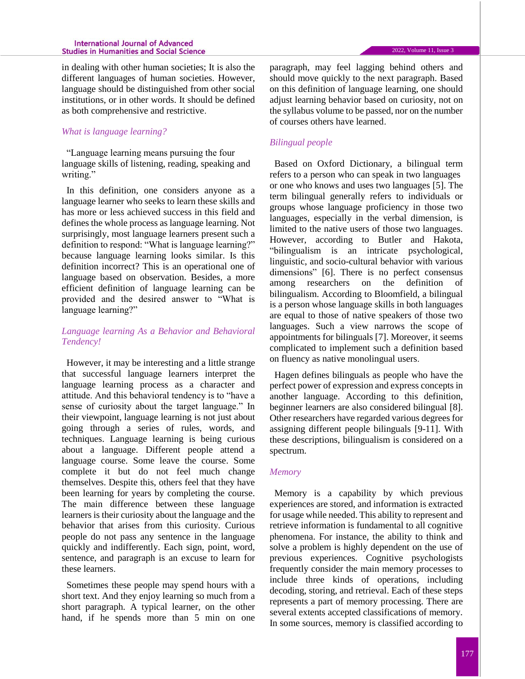#### **International Journal of Advanced Studies in Humanities and Social Science**

in dealing with other human societies; It is also the different languages of human societies. However, language should be distinguished from other social institutions, or in other words. It should be defined as both comprehensive and restrictive.

## *What is language learning?*

"Language learning means pursuing the four language skills of listening, reading, speaking and writing."

In this definition, one considers anyone as a language learner who seeks to learn these skills and has more or less achieved success in this field and defines the whole process as language learning. Not surprisingly, most language learners present such a definition to respond: "What is language learning?" because language learning looks similar. Is this definition incorrect? This is an operational one of language based on observation. Besides, a more efficient definition of language learning can be provided and the desired answer to "What is language learning?"

## *Language learning As a Behavior and Behavioral Tendency!*

However, it may be interesting and a little strange that successful language learners interpret the language learning process as a character and attitude. And this behavioral tendency is to "have a sense of curiosity about the target language." In their viewpoint, language learning is not just about going through a series of rules, words, and techniques. Language learning is being curious about a language. Different people attend a language course. Some leave the course. Some complete it but do not feel much change themselves. Despite this, others feel that they have been learning for years by completing the course. The main difference between these language learners is their curiosity about the language and the behavior that arises from this curiosity. Curious people do not pass any sentence in the language quickly and indifferently. Each sign, point, word, sentence, and paragraph is an excuse to learn for these learners.

Sometimes these people may spend hours with a short text. And they enjoy learning so much from a short paragraph. A typical learner, on the other hand, if he spends more than 5 min on one

paragraph, may feel lagging behind others and should move quickly to the next paragraph. Based on this definition of language learning, one should adjust learning behavior based on curiosity, not on the syllabus volume to be passed, nor on the number of courses others have learned.

#### *Bilingual people*

Based on Oxford Dictionary, a bilingual term refers to a person who can speak in two languages or one who knows and uses two languages [5]. The term bilingual generally refers to individuals or groups whose language proficiency in those two languages, especially in the verbal dimension, is limited to the native users of those two languages. However, according to Butler and Hakota, "bilingualism is an intricate psychological, linguistic, and socio-cultural behavior with various dimensions" [6]. There is no perfect consensus among researchers on the definition of bilingualism. According to Bloomfield, a bilingual is a person whose language skills in both languages are equal to those of native speakers of those two languages. Such a view narrows the scope of appointments for bilinguals [7]. Moreover, it seems complicated to implement such a definition based on fluency as native monolingual users.

Hagen defines bilinguals as people who have the perfect power of expression and express concepts in another language. According to this definition, beginner learners are also considered bilingual [8]. Other researchers have regarded various degrees for assigning different people bilinguals [9-11]. With these descriptions, bilingualism is considered on a spectrum.

#### *Memory*

Memory is a capability by which previous experiences are stored, and information is extracted for usage while needed. This ability to represent and retrieve information is fundamental to all cognitive phenomena. For instance, the ability to think and solve a problem is highly dependent on the use of previous experiences. Cognitive psychologists frequently consider the main memory processes to include three kinds of operations, including decoding, storing, and retrieval. Each of these steps represents a part of memory processing. There are several extents accepted classifications of memory. In some sources, memory is classified according to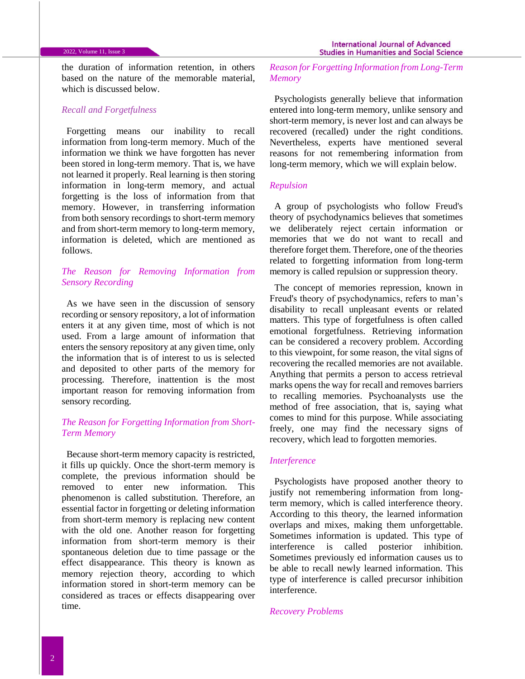the duration of information retention, in others based on the nature of the memorable material, which is discussed below.

#### *Recall and Forgetfulness*

Forgetting means our inability to recall information from long-term memory. Much of the information we think we have forgotten has never been stored in long-term memory. That is, we have not learned it properly. Real learning is then storing information in long-term memory, and actual forgetting is the loss of information from that memory. However, in transferring information from both sensory recordings to short-term memory and from short-term memory to long-term memory, information is deleted, which are mentioned as follows.

## *The Reason for Removing Information from Sensory Recording*

As we have seen in the discussion of sensory recording or sensory repository, a lot of information enters it at any given time, most of which is not used. From a large amount of information that enters the sensory repository at any given time, only the information that is of interest to us is selected and deposited to other parts of the memory for processing. Therefore, inattention is the most important reason for removing information from sensory recording.

## *The Reason for Forgetting Information from Short-Term Memory*

Because short-term memory capacity is restricted, it fills up quickly. Once the short-term memory is complete, the previous information should be removed to enter new information. This phenomenon is called substitution. Therefore, an essential factor in forgetting or deleting information from short-term memory is replacing new content with the old one. Another reason for forgetting information from short-term memory is their spontaneous deletion due to time passage or the effect disappearance. This theory is known as memory rejection theory, according to which information stored in short-term memory can be considered as traces or effects disappearing over time.

*Reason for Forgetting Information from Long-Term Memory*

Psychologists generally believe that information entered into long-term memory, unlike sensory and short-term memory, is never lost and can always be recovered (recalled) under the right conditions. Nevertheless, experts have mentioned several reasons for not remembering information from long-term memory, which we will explain below.

#### *Repulsion*

A group of psychologists who follow Freud's theory of psychodynamics believes that sometimes we deliberately reject certain information or memories that we do not want to recall and therefore forget them. Therefore, one of the theories related to forgetting information from long-term memory is called repulsion or suppression theory.

The concept of memories repression, known in Freud's theory of psychodynamics, refers to man's disability to recall unpleasant events or related matters. This type of forgetfulness is often called emotional forgetfulness. Retrieving information can be considered a recovery problem. According to this viewpoint, for some reason, the vital signs of recovering the recalled memories are not available. Anything that permits a person to access retrieval marks opens the way for recall and removes barriers to recalling memories. Psychoanalysts use the method of free association, that is, saying what comes to mind for this purpose. While associating freely, one may find the necessary signs of recovery, which lead to forgotten memories.

#### *Interference*

Psychologists have proposed another theory to justify not remembering information from longterm memory, which is called interference theory. According to this theory, the learned information overlaps and mixes, making them unforgettable. Sometimes information is updated. This type of interference is called posterior inhibition. Sometimes previously ed information causes us to be able to recall newly learned information. This type of interference is called precursor inhibition interference.

#### *Recovery Problems*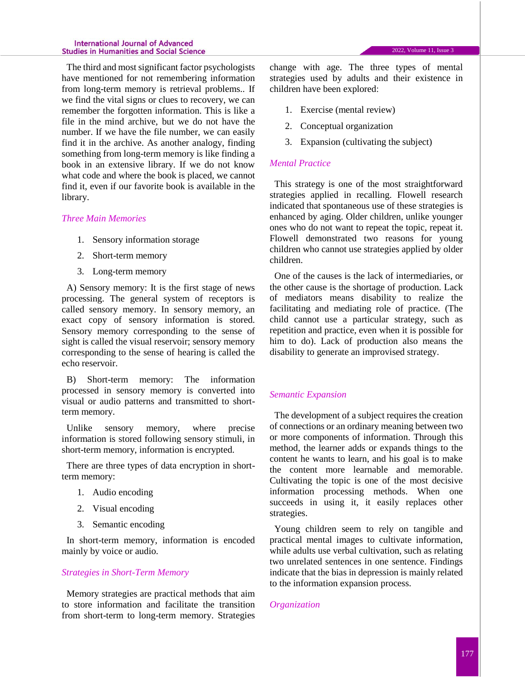The third and most significant factor psychologists have mentioned for not remembering information from long-term memory is retrieval problems.. If we find the vital signs or clues to recovery, we can remember the forgotten information. This is like a file in the mind archive, but we do not have the number. If we have the file number, we can easily find it in the archive. As another analogy, finding something from long-term memory is like finding a book in an extensive library. If we do not know what code and where the book is placed, we cannot find it, even if our favorite book is available in the library.

#### *Three Main Memories*

- 1. Sensory information storage
- 2. Short-term memory
- 3. Long-term memory

A) Sensory memory: It is the first stage of news processing. The general system of receptors is called sensory memory. In sensory memory, an exact copy of sensory information is stored. Sensory memory corresponding to the sense of sight is called the visual reservoir; sensory memory corresponding to the sense of hearing is called the echo reservoir.

B) Short-term memory: The information processed in sensory memory is converted into visual or audio patterns and transmitted to shortterm memory.

Unlike sensory memory, where precise information is stored following sensory stimuli, in short-term memory, information is encrypted.

There are three types of data encryption in shortterm memory:

- 1. Audio encoding
- 2. Visual encoding
- 3. Semantic encoding

In short-term memory, information is encoded mainly by voice or audio.

## *Strategies in Short-Term Memory*

Memory strategies are practical methods that aim to store information and facilitate the transition from short-term to long-term memory. Strategies

change with age. The three types of mental strategies used by adults and their existence in children have been explored:

- 1. Exercise (mental review)
- 2. Conceptual organization
- 3. Expansion (cultivating the subject)

## *Mental Practice*

This strategy is one of the most straightforward strategies applied in recalling. Flowell research indicated that spontaneous use of these strategies is enhanced by aging. Older children, unlike younger ones who do not want to repeat the topic, repeat it. Flowell demonstrated two reasons for young children who cannot use strategies applied by older children.

One of the causes is the lack of intermediaries, or the other cause is the shortage of production. Lack of mediators means disability to realize the facilitating and mediating role of practice. (The child cannot use a particular strategy, such as repetition and practice, even when it is possible for him to do). Lack of production also means the disability to generate an improvised strategy.

## *Semantic Expansion*

The development of a subject requires the creation of connections or an ordinary meaning between two or more components of information. Through this method, the learner adds or expands things to the content he wants to learn, and his goal is to make the content more learnable and memorable. Cultivating the topic is one of the most decisive information processing methods. When one succeeds in using it, it easily replaces other strategies.

Young children seem to rely on tangible and practical mental images to cultivate information, while adults use verbal cultivation, such as relating two unrelated sentences in one sentence. Findings indicate that the bias in depression is mainly related to the information expansion process.

## *Organization*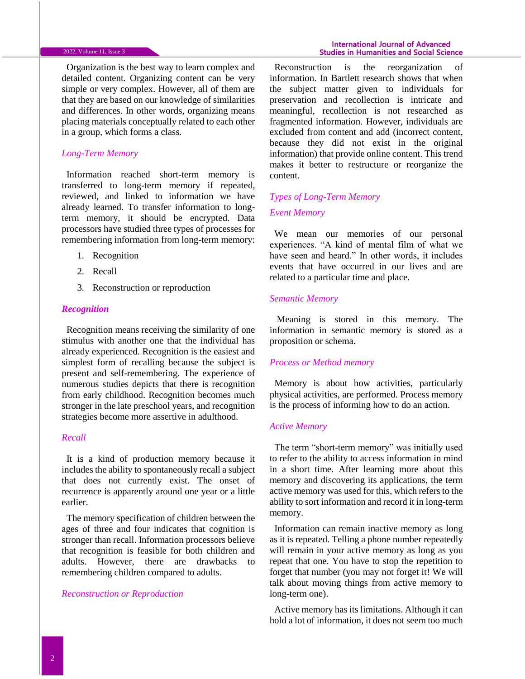#### 2022, Volume 11, Issue 3

Organization is the best way to learn complex and detailed content. Organizing content can be very simple or very complex. However, all of them are that they are based on our knowledge of similarities and differences. In other words, organizing means placing materials conceptually related to each other in a group, which forms a class.

## *Long-Term Memory*

Information reached short-term memory is transferred to long-term memory if repeated, reviewed, and linked to information we have already learned. To transfer information to longterm memory, it should be encrypted. Data processors have studied three types of processes for remembering information from long-term memory:

- 1. Recognition
- 2. Recall
- 3. Reconstruction or reproduction

#### *Recognition*

Recognition means receiving the similarity of one stimulus with another one that the individual has already experienced. Recognition is the easiest and simplest form of recalling because the subject is present and self-remembering. The experience of numerous studies depicts that there is recognition from early childhood. Recognition becomes much stronger in the late preschool years, and recognition strategies become more assertive in adulthood.

## *Recall*

It is a kind of production memory because it includes the ability to spontaneously recall a subject that does not currently exist. The onset of recurrence is apparently around one year or a little earlier.

The memory specification of children between the ages of three and four indicates that cognition is stronger than recall. Information processors believe that recognition is feasible for both children and adults. However, there are drawbacks to remembering children compared to adults.

#### *Reconstruction or Reproduction*

Reconstruction is the reorganization of information. In Bartlett research shows that when the subject matter given to individuals for preservation and recollection is intricate and meaningful, recollection is not researched as fragmented information. However, individuals are excluded from content and add (incorrect content, because they did not exist in the original information) that provide online content. This trend makes it better to restructure or reorganize the content.

## *Types of Long-Term Memory*

## *Event Memory*

We mean our memories of our personal experiences. "A kind of mental film of what we have seen and heard." In other words, it includes events that have occurred in our lives and are related to a particular time and place.

#### *Semantic Memory*

Meaning is stored in this memory. The information in semantic memory is stored as a proposition or schema.

#### *Process or Method memory*

Memory is about how activities, particularly physical activities, are performed. Process memory is the process of informing how to do an action.

## *Active Memory*

The term "short-term memory" was initially used to refer to the ability to access information in mind in a short time. After learning more about this memory and discovering its applications, the term active memory was used for this, which refers to the ability to sort information and record it in long-term memory.

Information can remain inactive memory as long as it is repeated. Telling a phone number repeatedly will remain in your active memory as long as you repeat that one. You have to stop the repetition to forget that number (you may not forget it! We will talk about moving things from active memory to long-term one).

Active memory has its limitations. Although it can hold a lot of information, it does not seem too much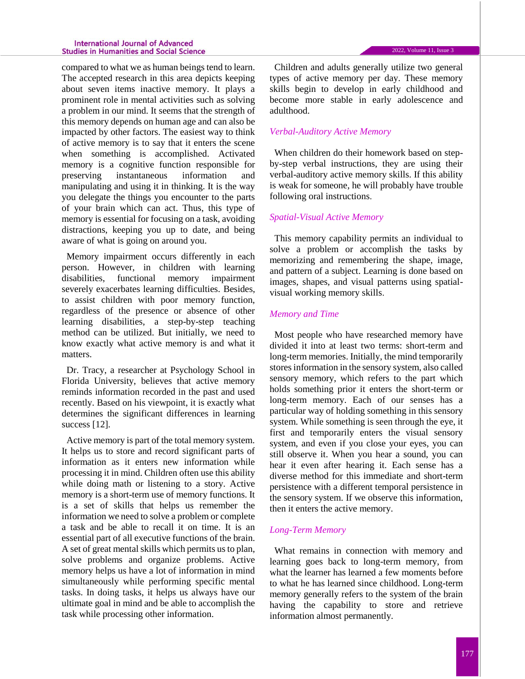#### **International Journal of Advanced Studies in Humanities and Social Science**

compared to what we as human beings tend to learn. The accepted research in this area depicts keeping about seven items inactive memory. It plays a prominent role in mental activities such as solving a problem in our mind. It seems that the strength of this memory depends on human age and can also be impacted by other factors. The easiest way to think of active memory is to say that it enters the scene when something is accomplished. Activated memory is a cognitive function responsible for preserving instantaneous information and manipulating and using it in thinking. It is the way you delegate the things you encounter to the parts of your brain which can act. Thus, this type of memory is essential for focusing on a task, avoiding distractions, keeping you up to date, and being aware of what is going on around you.

Memory impairment occurs differently in each person. However, in children with learning disabilities, functional memory impairment severely exacerbates learning difficulties. Besides, to assist children with poor memory function, regardless of the presence or absence of other learning disabilities, a step-by-step teaching method can be utilized. But initially, we need to know exactly what active memory is and what it matters.

Dr. Tracy, a researcher at Psychology School in Florida University, believes that active memory reminds information recorded in the past and used recently. Based on his viewpoint, it is exactly what determines the significant differences in learning success [12].

Active memory is part of the total memory system. It helps us to store and record significant parts of information as it enters new information while processing it in mind. Children often use this ability while doing math or listening to a story. Active memory is a short-term use of memory functions. It is a set of skills that helps us remember the information we need to solve a problem or complete a task and be able to recall it on time. It is an essential part of all executive functions of the brain. A set of great mental skills which permits us to plan, solve problems and organize problems. Active memory helps us have a lot of information in mind simultaneously while performing specific mental tasks. In doing tasks, it helps us always have our ultimate goal in mind and be able to accomplish the task while processing other information.

Children and adults generally utilize two general types of active memory per day. These memory skills begin to develop in early childhood and become more stable in early adolescence and adulthood.

## *Verbal-Auditory Active Memory*

When children do their homework based on stepby-step verbal instructions, they are using their verbal-auditory active memory skills. If this ability is weak for someone, he will probably have trouble following oral instructions.

#### *Spatial-Visual Active Memory*

This memory capability permits an individual to solve a problem or accomplish the tasks by memorizing and remembering the shape, image, and pattern of a subject. Learning is done based on images, shapes, and visual patterns using spatialvisual working memory skills.

#### *Memory and Time*

Most people who have researched memory have divided it into at least two terms: short-term and long-term memories. Initially, the mind temporarily stores information in the sensory system, also called sensory memory, which refers to the part which holds something prior it enters the short-term or long-term memory. Each of our senses has a particular way of holding something in this sensory system. While something is seen through the eye, it first and temporarily enters the visual sensory system, and even if you close your eyes, you can still observe it. When you hear a sound, you can hear it even after hearing it. Each sense has a diverse method for this immediate and short-term persistence with a different temporal persistence in the sensory system. If we observe this information, then it enters the active memory.

#### *Long-Term Memory*

What remains in connection with memory and learning goes back to long-term memory, from what the learner has learned a few moments before to what he has learned since childhood. Long-term memory generally refers to the system of the brain having the capability to store and retrieve information almost permanently.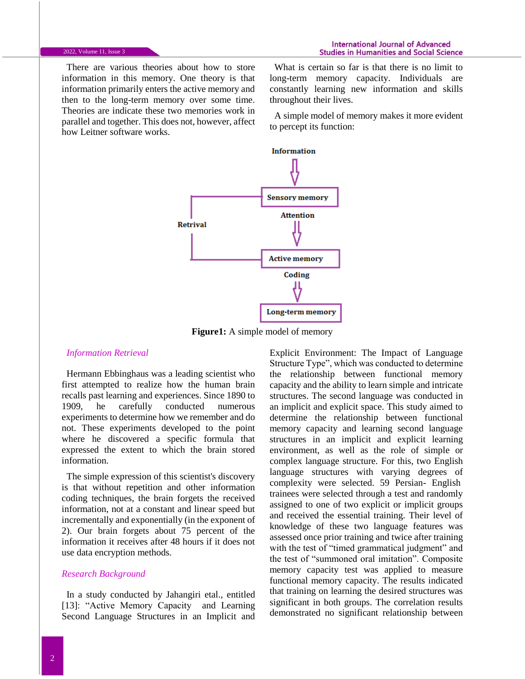There are various theories about how to store information in this memory. One theory is that information primarily enters the active memory and then to the long-term memory over some time. Theories are indicate these two memories work in parallel and together. This does not, however, affect how Leitner software works.

What is certain so far is that there is no limit to long-term memory capacity. Individuals are constantly learning new information and skills throughout their lives.

A simple model of memory makes it more evident to percept its function:



**Figure1:** A simple model of memory

#### *Information Retrieval*

Hermann Ebbinghaus was a leading scientist who first attempted to realize how the human brain recalls past learning and experiences. Since 1890 to 1909, he carefully conducted numerous experiments to determine how we remember and do not. These experiments developed to the point where he discovered a specific formula that expressed the extent to which the brain stored information.

The simple expression of this scientist's discovery is that without repetition and other information coding techniques, the brain forgets the received information, not at a constant and linear speed but incrementally and exponentially (in the exponent of 2). Our brain forgets about 75 percent of the information it receives after 48 hours if it does not use data encryption methods.

#### *Research Background*

In a study conducted by Jahangiri etal., entitled [13]: "Active Memory Capacity and Learning Second Language Structures in an Implicit and

Explicit Environment: The Impact of Language Structure Type", which was conducted to determine the relationship between functional memory capacity and the ability to learn simple and intricate structures. The second language was conducted in an implicit and explicit space. This study aimed to determine the relationship between functional memory capacity and learning second language structures in an implicit and explicit learning environment, as well as the role of simple or complex language structure. For this, two English language structures with varying degrees of complexity were selected. 59 Persian- English trainees were selected through a test and randomly assigned to one of two explicit or implicit groups and received the essential training. Their level of knowledge of these two language features was assessed once prior training and twice after training with the test of "timed grammatical judgment" and the test of "summoned oral imitation". Composite memory capacity test was applied to measure functional memory capacity. The results indicated that training on learning the desired structures was significant in both groups. The correlation results demonstrated no significant relationship between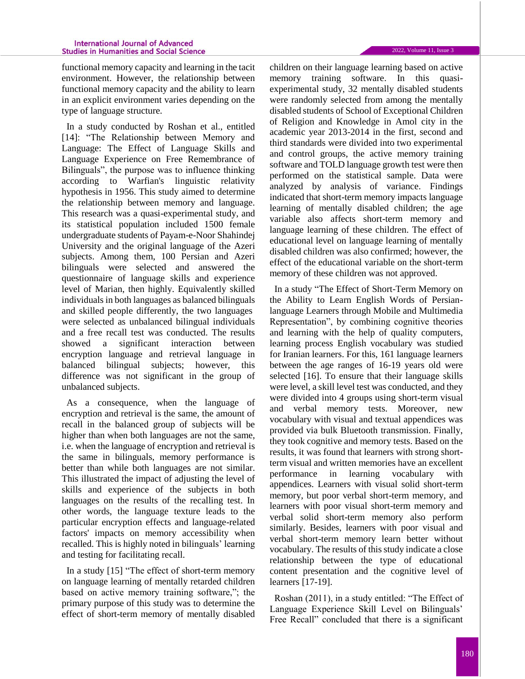functional memory capacity and learning in the tacit environment. However, the relationship between functional memory capacity and the ability to learn in an explicit environment varies depending on the type of language structure.

In a study conducted by Roshan et al., entitled [14]: "The Relationship between Memory and Language: The Effect of Language Skills and Language Experience on Free Remembrance of Bilinguals", the purpose was to influence thinking according to Warfian's linguistic relativity hypothesis in 1956. This study aimed to determine the relationship between memory and language. This research was a quasi-experimental study, and its statistical population included 1500 female undergraduate students of Payam-e-Noor Shahindej University and the original language of the Azeri subjects. Among them, 100 Persian and Azeri bilinguals were selected and answered the questionnaire of language skills and experience level of Marian, then highly. Equivalently skilled individuals in both languages as balanced bilinguals and skilled people differently, the two languages were selected as unbalanced bilingual individuals and a free recall test was conducted. The results showed a significant interaction between encryption language and retrieval language in balanced bilingual subjects; however, this difference was not significant in the group of unbalanced subjects.

As a consequence, when the language of encryption and retrieval is the same, the amount of recall in the balanced group of subjects will be higher than when both languages are not the same, i.e. when the language of encryption and retrieval is the same in bilinguals, memory performance is better than while both languages are not similar. This illustrated the impact of adjusting the level of skills and experience of the subjects in both languages on the results of the recalling test. In other words, the language texture leads to the particular encryption effects and language-related factors' impacts on memory accessibility when recalled. This is highly noted in bilinguals' learning and testing for facilitating recall.

In a study [15] "The effect of short-term memory on language learning of mentally retarded children based on active memory training software,"; the primary purpose of this study was to determine the effect of short-term memory of mentally disabled 2022, Volume 11, Issue 3

children on their language learning based on active memory training software. In this quasiexperimental study, 32 mentally disabled students were randomly selected from among the mentally disabled students of School of Exceptional Children of Religion and Knowledge in Amol city in the academic year 2013-2014 in the first, second and third standards were divided into two experimental and control groups, the active memory training software and TOLD language growth test were then performed on the statistical sample. Data were analyzed by analysis of variance. Findings indicated that short-term memory impacts language learning of mentally disabled children; the age variable also affects short-term memory and language learning of these children. The effect of educational level on language learning of mentally disabled children was also confirmed; however, the effect of the educational variable on the short-term memory of these children was not approved.

In a study "The Effect of Short-Term Memory on the Ability to Learn English Words of Persianlanguage Learners through Mobile and Multimedia Representation", by combining cognitive theories and learning with the help of quality computers, learning process English vocabulary was studied for Iranian learners. For this, 161 language learners between the age ranges of 16-19 years old were selected [16]. To ensure that their language skills were level, a skill level test was conducted, and they were divided into 4 groups using short-term visual and verbal memory tests. Moreover, new vocabulary with visual and textual appendices was provided via bulk Bluetooth transmission. Finally, they took cognitive and memory tests. Based on the results, it was found that learners with strong shortterm visual and written memories have an excellent performance in learning vocabulary with appendices. Learners with visual solid short-term memory, but poor verbal short-term memory, and learners with poor visual short-term memory and verbal solid short-term memory also perform similarly. Besides, learners with poor visual and verbal short-term memory learn better without vocabulary. The results of this study indicate a close relationship between the type of educational content presentation and the cognitive level of learners [17-19].

Roshan (2011), in a study entitled: "The Effect of Language Experience Skill Level on Bilinguals' Free Recall" concluded that there is a significant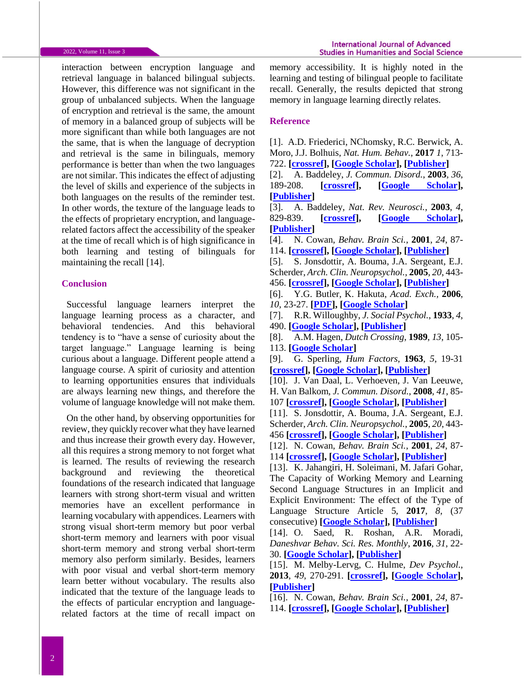#### 2022, Volume 11, Issue 3

interaction between encryption language and retrieval language in balanced bilingual subjects. However, this difference was not significant in the group of unbalanced subjects. When the language of encryption and retrieval is the same, the amount of memory in a balanced group of subjects will be more significant than while both languages are not the same, that is when the language of decryption and retrieval is the same in bilinguals, memory performance is better than when the two languages are not similar. This indicates the effect of adjusting the level of skills and experience of the subjects in both languages on the results of the reminder test. In other words, the texture of the language leads to the effects of proprietary encryption, and languagerelated factors affect the accessibility of the speaker at the time of recall which is of high significance in both learning and testing of bilinguals for maintaining the recall [14].

#### **Conclusion**

Successful language learners interpret the language learning process as a character, and behavioral tendencies. And this behavioral tendency is to "have a sense of curiosity about the target language." Language learning is being curious about a language. Different people attend a language course. A spirit of curiosity and attention to learning opportunities ensures that individuals are always learning new things, and therefore the volume of language knowledge will not make them.

On the other hand, by observing opportunities for review, they quickly recover what they have learned and thus increase their growth every day. However, all this requires a strong memory to not forget what is learned. The results of reviewing the research background and reviewing the theoretical foundations of the research indicated that language learners with strong short-term visual and written memories have an excellent performance in learning vocabulary with appendices. Learners with strong visual short-term memory but poor verbal short-term memory and learners with poor visual short-term memory and strong verbal short-term memory also perform similarly. Besides, learners with poor visual and verbal short-term memory learn better without vocabulary. The results also indicated that the texture of the language leads to the effects of particular encryption and languagerelated factors at the time of recall impact on memory accessibility. It is highly noted in the learning and testing of bilingual people to facilitate recall. Generally, the results depicted that strong memory in language learning directly relates.

#### **Reference**

[1]. A.D. Friederici, NChomsky, R.C. Berwick, A. Moro, J.J. Bolhuis, *Nat. Hum. Behav.,* **2017** *1*, 713- 722. **[\[crossref\]](https://doi.org/10.1038/s41562-017-0184-4), [\[Google Scholar\]](https://scholar.google.com/scholar?hl=en&as_sdt=0%2C5&q=Friederici%2C+A.D.%2C+Chomsky%2C+N.%2C+Berwick%2C+R.C.%2C+Moro%2C+A.+and+Bolhuis%2C+J.J.%2C+2017.+Language%2C+mind+and+brain.+Nature+human+behaviour%2C+1%2810%29%2C+pp.713-722.&btnG=), [\[Publisher\]](https://www.nature.com/articles/s41562-017-0184-4)**

[2]. A. Baddeley, *J. Commun. Disord.*, **2003**, *36*, 189-208. **[\[crossref\]](https://doi.org/10.1016/S0021-9924(03)00019-4), [\[Google Scholar\]](https://scholar.google.com/scholar?hl=en&as_sdt=0%2C5&q=Active+Memory+and+Language%3A+An+Overview&btnG=), [\[Publisher\]](https://www.sciencedirect.com/science/article/abs/pii/S0021992403000194)**

[3]. A. Baddeley, *Nat. Rev. Neurosci.*, **2003**, *4*, 829-839. **[\[crossref\]](https://doi.org/10.1038/nrn1201), [\[Google Scholar\]](https://scholar.google.com/scholar?hl=en&as_sdt=0%2C5&q=Working+memory%3A+looking+back+and+looking+forward&btnG=), [\[Publisher\]](https://www.nature.com/articles/nrn1201)**

[4]. N. Cowan, *Behav. Brain Sci.*, **2001**, *24*, 87- 114. **[\[crossref\]](https://doi.org/10.1017/S0140525X01003922), [\[Google Scholar\]](https://scholar.google.com/scholar?hl=en&as_sdt=0%2C5&q=The+magical+number+4+in+short-term+memory%3A+A+reconsideration+of+mental+storage+capacity&btnG=), [\[Publisher\]](https://www.cambridge.org/core/journals/behavioral-and-brain-sciences/article/magical-number-4-in-shortterm-memory-a-reconsideration-of-mental-storage-capacity/44023F1147D4A1D44BDC0AD226838496)**

[5]. S. Jonsdottir, A. Bouma, J.A. Sergeant, E.J. Scherder, *Arch. Clin. Neuropsychol.*, **2005**, *20*, 443- 456. **[\[crossref\]](https://doi.org/10.1016/j.acn.2004.10.004), [\[Google Scholar\]](https://scholar.google.com/scholar?hl=en&as_sdt=0%2C5&q=The+impact+of+specific+language+impairment+on+working+memory+in+children+with+ADHD+combined+subtype&btnG=), [\[Publisher\]](https://academic.oup.com/acn/article/20/4/443/2586?login=true)**

[6]. Y.G. Butler, K. Hakuta, *Acad. Exch.,* **2006**, *10*, 23-27. **[\[PDF\]](https://web.stanford.edu/~hakuta/Publications/(2006)%20ButlerHakuta(2006)Academic%20EQ.pdf), [\[Google Scholar\]](https://scholar.google.com/scholar?hl=en&as_sdt=0%2C5&q=Butler%2C+Y.G.+and+Hakuta%2C+K.%2C+2006.+Cognitive+factors+in+children%27s+L1+and+L2+reading.+Academic+Exchange%2C+10%281%29%2C+pp.23-27.&btnG=#d=gs_cit&u=%2Fscholar%3Fq%3Dinfo%3AFNHPDobR4AEJ%3Ascholar.google.com%2F%26output%3Dcite%26scirp%3D0%26hl%3Den)**

[7]. R.R. Willoughby, *J. Social Psychol.*, **1933**, *4*, 490. **[\[Google Scholar\]](https://scholar.google.com/scholar?hl=en&as_sdt=0%2C5&q=Willoughby%2C+R.R.%2C+1933.+Leonard+Bloomfield%2C+Language+%28Book+Review%29.+Journal+of+Social+Psychology%2C+4%284%29%2C+p.490.&btnG=), [\[Publisher\]](https://www.proquest.com/openview/7e636264d48b12b4398981f8e68e4354/1?pq-origsite=gscholar&cbl=1819178)**

[8]. A.M. Hagen, *Dutch Crossing*, **1989**, *13*, 105- 113. **[\[Google Scholar\]](https://scholar.google.com/scholar?hl=en&as_sdt=0%2C5&q=Hagen%2C+A.M.%2C+1989.+In+Praise+of+Dutch%3A+The+Attribution+of+Excellence+to+the+Dutch+Language+in+the+Early+Nineteenth+Century.+Dutch+Crossing%2C+13%2839%29%2C+pp.105-113.&btnG=)**

[9]. G. Sperling, *Hum Factors*, **1963**, *5*, 19-31 **[\[crossref\]](https://doi.org/10.1177%2F001872086300500103), [\[Google Scholar\]](https://scholar.google.com/scholar?hl=en&as_sdt=0%2C5&q=A+Model+for+Visual+Memory+Tasks&btnG=), [\[Publisher\]](https://journals.sagepub.com/doi/abs/10.1177/001872086300500103)**

[10]. J. Van Daal, L. Verhoeven, J. Van Leeuwe, H. Van Balkom, *J. Commun. Disord.*, **2008**, *41*, 85- 107 **[\[crossref\]](https://doi.org/10.1016/j.jcomdis.2007.03.010), [\[Google Scholar\]](https://scholar.google.com/scholar?hl=en&as_sdt=0%2C5&q=Working+memory+limitations+in+children+with+severe+language+impairment&btnG=), [\[Publisher\]](https://www.sciencedirect.com/science/article/abs/pii/S0021992407000342)**

[11]. S. Jonsdottir, A. Bouma, J.A. Sergeant, E.J. Scherder, *Arch. Clin. Neuropsychol.*, **2005**, *20*, 443- 456 **[\[crossref\]](https://doi.org/10.1016/j.acn.2004.10.004), [\[Google Scholar\]](https://scholar.google.com/scholar?hl=en&as_sdt=0%2C5&q=The+impact+of+specific+language+impairment+on+working+memory+in+children+with+ADHD+combined+subtype&btnG=), [\[Publisher\]](https://academic.oup.com/acn/article/20/4/443/2586?login=true)**

[12]. N. Cowan, *Behav. Brain Sci.*, **2001**, *24*, 87- 114 **[\[crossref\]](https://doi.org/10.1017/S0140525X01003922), [\[Google Scholar\]](https://scholar.google.com/scholar?hl=en&as_sdt=0%2C5&q=The+magical+number+4+in+short-term+memory%3A+A+reconsideration+of+mental+storage+capacity&btnG=), [\[Publisher\]](https://www.cambridge.org/core/journals/behavioral-and-brain-sciences/article/magical-number-4-in-shortterm-memory-a-reconsideration-of-mental-storage-capacity/44023F1147D4A1D44BDC0AD226838496)**

[13]. K. Jahangiri, H. Soleimani, M. Jafari Gohar, The Capacity of Working Memory and Learning Second Language Structures in an Implicit and Explicit Environment: The effect of the Type of Language Structure Article 5, **2017**, *8*, (37 consecutive) **[\[Google Scholar\]](https://scholar.google.com/scholar?hl=en&as_sdt=0%2C5&q=Working+Memory+Capacity+And+Learning+L2+Structures+Under+Explicit+And+Implicit+Condition%3A+The+Effect+Of+Type+Of+Linguistic+Structures&btnG=), [\[Publisher\]](https://www.sid.ir/en/Journal/ViewPaper.aspx?ID=538203)**

[14]. O. Saed, R. Roshan, A.R. Moradi, *Daneshvar Behav. Sci. Res. Monthly*, **2016**, *31*, 22- 30. **[\[Google Scholar\]](https://scholar.google.com/scholar?hl=en&as_sdt=0%2C5&q=Investigating+Psychometric+Properties+Of+Wechsler+Memory+Scale-Third+Edition+For+The+Students+Of+Tehran+Universities&btnG=), [\[Publisher\]](https://www.sid.ir/en/Journal/ViewPaper.aspx?ID=257948)**

[15]. M. Melby-Lervg, C. Hulme, *Dev Psychol.*, **2013**, *49*, 270-291. **[\[crossref\]](https://psycnet.apa.org/doi/10.1037/a0028228), [\[Google Scholar\]](https://scholar.google.com/scholar?hl=en&as_sdt=0%2C5&q=Is+working+memory+training+effective%3F+A+meta-analytic+review.&btnG=), [\[Publisher\]](https://psycnet.apa.org/doiLanding?doi=10.1037%2Fa0028228)**

[16]. N. Cowan, *Behav. Brain Sci.*, **2001**, *24*, 87- 114. **[\[crossref\]](https://doi.org/10.1017/S0140525X01003922), [\[Google Scholar\]](https://scholar.google.com/scholar?hl=en&as_sdt=0%2C5&q=The+magical+number+4+in+short-term+memory%3A+A+reconsideration+of+mental+storage+capacity&btnG=), [\[Publisher\]](https://www.cambridge.org/core/journals/behavioral-and-brain-sciences/article/magical-number-4-in-shortterm-memory-a-reconsideration-of-mental-storage-capacity/44023F1147D4A1D44BDC0AD226838496)**